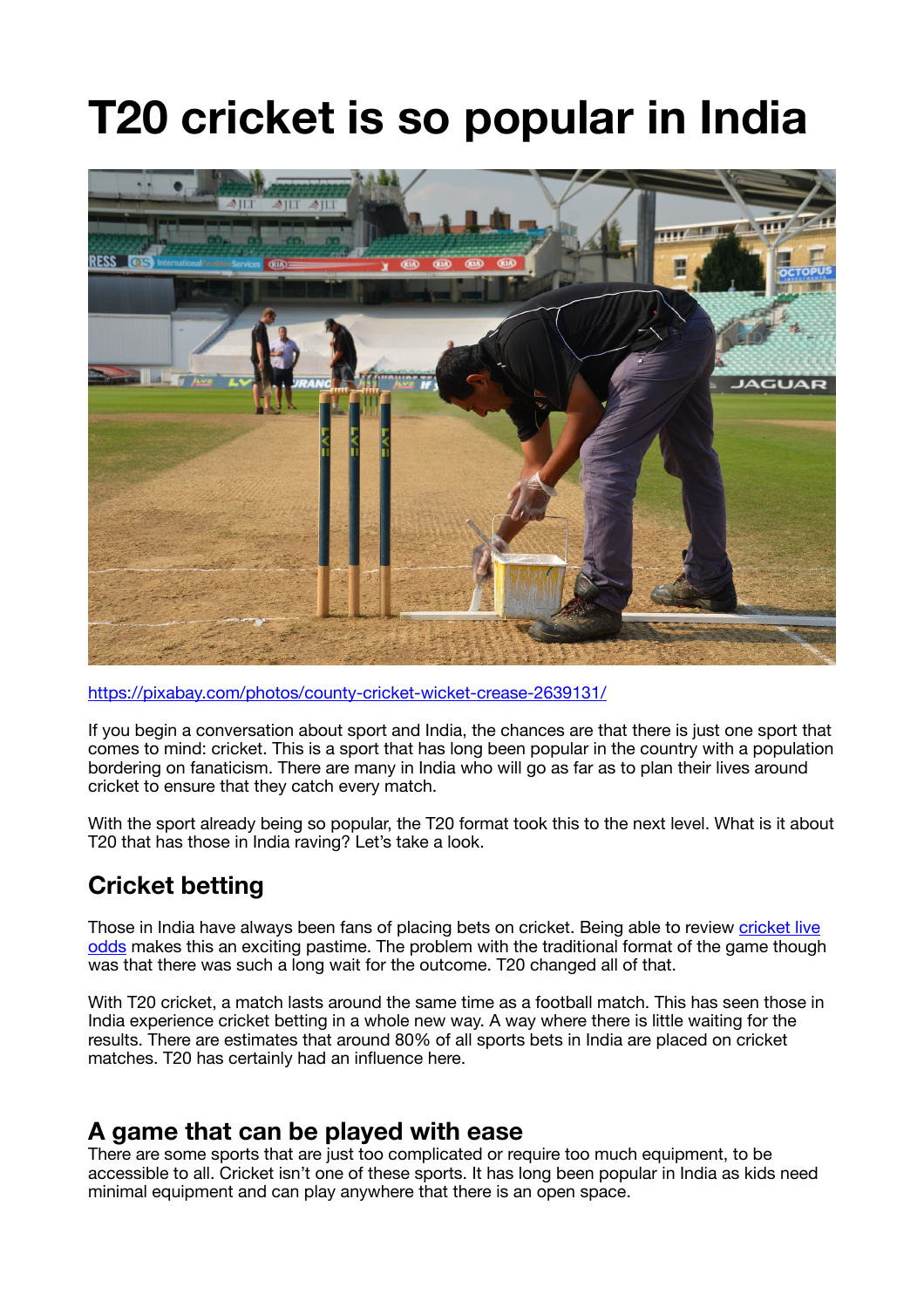# **T20 cricket is so popular in India**



https://pixabay.com/photos/county-cricket-wicket-crease-2639131/

If you begin a conversation about sport and India, the chances are that there is just one sport that comes to mind: cricket. This is a sport that has long been popular in the country with a population bordering on fanaticism. There are many in India who will go as far as to plan their lives around cricket to ensure that they catch every match.

With the sport already being so popular, the T20 format took this to the next level. What is it about T20 that has those in India raving? Let's take a look.

## **Cricket betting**

Those in India have always been fans of placing bets on cricket. Being able to review cricket live odds makes this an exciting pastime. The problem with the traditional format of the game though was that there was such a long wait for the outcome. T20 changed all of that.

With T20 cricket, a match lasts around the same time as a football match. This has seen those in India experience cricket betting in a whole new way. A way where there is little waiting for the results. There are estimates that around 80% of all sports bets in India are placed on cricket matches. T20 has certainly had an influence here.

#### **A game that can be played with ease**

There are some sports that are just too complicated or require too much equipment, to be accessible to all. Cricket isn't one of these sports. It has long been popular in India as kids need minimal equipment and can play anywhere that there is an open space.